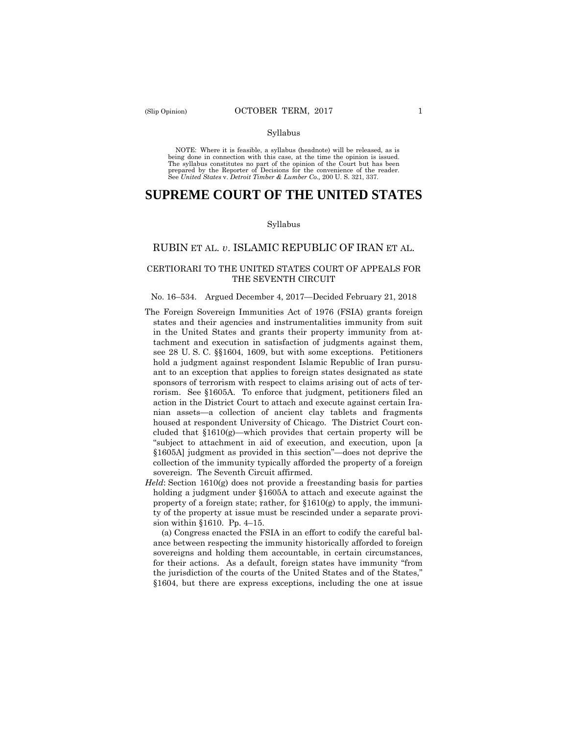#### Syllabus

 NOTE: Where it is feasible, a syllabus (headnote) will be released, as is being done in connection with this case, at the time the opinion is issued. The syllabus constitutes no part of the opinion of the Court but has been<br>prepared by the Reporter of Decisions for the convenience of the reader.<br>See United States v. Detroit Timber & Lumber Co., 200 U.S. 321, 337.

# **SUPREME COURT OF THE UNITED STATES**

#### Syllabus

## RUBIN ET AL. *v*. ISLAMIC REPUBLIC OF IRAN ET AL.

### CERTIORARI TO THE UNITED STATES COURT OF APPEALS FOR THE SEVENTH CIRCUIT

#### No. 16–534. Argued December 4, 2017—Decided February 21, 2018

- The Foreign Sovereign Immunities Act of 1976 (FSIA) grants foreign states and their agencies and instrumentalities immunity from suit in the United States and grants their property immunity from attachment and execution in satisfaction of judgments against them, see 28 U. S. C. §§1604, 1609, but with some exceptions. Petitioners hold a judgment against respondent Islamic Republic of Iran pursuant to an exception that applies to foreign states designated as state sponsors of terrorism with respect to claims arising out of acts of terrorism. See §1605A. To enforce that judgment, petitioners filed an action in the District Court to attach and execute against certain Iranian assets—a collection of ancient clay tablets and fragments housed at respondent University of Chicago. The District Court concluded that §1610(g)—which provides that certain property will be "subject to attachment in aid of execution, and execution, upon [a §1605A] judgment as provided in this section"—does not deprive the collection of the immunity typically afforded the property of a foreign sovereign. The Seventh Circuit affirmed.
- sion within §1610. Pp. 4–15. *Held*: Section 1610(g) does not provide a freestanding basis for parties holding a judgment under §1605A to attach and execute against the property of a foreign state; rather, for §1610(g) to apply, the immunity of the property at issue must be rescinded under a separate provi-

(a) Congress enacted the FSIA in an effort to codify the careful balance between respecting the immunity historically afforded to foreign sovereigns and holding them accountable, in certain circumstances, for their actions. As a default, foreign states have immunity "from the jurisdiction of the courts of the United States and of the States," §1604, but there are express exceptions, including the one at issue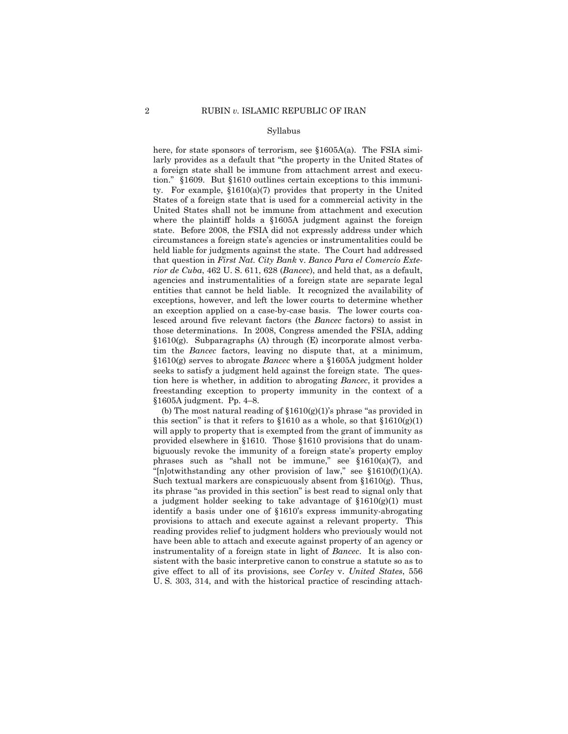#### Syllabus

 United States shall not be immune from attachment and execution §1610(g) serves to abrogate *Bancec* where a §1605A judgment holder here, for state sponsors of terrorism, see  $$1605A(a)$ . The FSIA similarly provides as a default that "the property in the United States of a foreign state shall be immune from attachment arrest and execution." §1609. But §1610 outlines certain exceptions to this immunity. For example, §1610(a)(7) provides that property in the United States of a foreign state that is used for a commercial activity in the where the plaintiff holds a §1605A judgment against the foreign state. Before 2008, the FSIA did not expressly address under which circumstances a foreign state's agencies or instrumentalities could be held liable for judgments against the state. The Court had addressed that question in *First Nat. City Bank* v. *Banco Para el Comercio Exterior de Cuba*, 462 U. S. 611, 628 (*Bancec*), and held that, as a default, agencies and instrumentalities of a foreign state are separate legal entities that cannot be held liable. It recognized the availability of exceptions, however, and left the lower courts to determine whether an exception applied on a case-by-case basis. The lower courts coalesced around five relevant factors (the *Bancec* factors) to assist in those determinations. In 2008, Congress amended the FSIA, adding §1610(g). Subparagraphs (A) through (E) incorporate almost verbatim the *Bancec* factors, leaving no dispute that, at a minimum, seeks to satisfy a judgment held against the foreign state. The question here is whether, in addition to abrogating *Bancec*, it provides a freestanding exception to property immunity in the context of a §1605A judgment. Pp. 4–8.

"[n]otwithstanding any other provision of law," see  $$1610(f)(1)(A)$ . (b) The most natural reading of  $$1610(g)(1)$ 's phrase "as provided in this section" is that it refers to  $$1610$  as a whole, so that  $$1610(g)(1)$ will apply to property that is exempted from the grant of immunity as provided elsewhere in §1610. Those §1610 provisions that do unambiguously revoke the immunity of a foreign state's property employ phrases such as "shall not be immune," see §1610(a)(7), and Such textual markers are conspicuously absent from  $\S1610(g)$ . Thus, its phrase "as provided in this section" is best read to signal only that a judgment holder seeking to take advantage of  $$1610(g)(1)$  must identify a basis under one of §1610's express immunity-abrogating provisions to attach and execute against a relevant property. This reading provides relief to judgment holders who previously would not have been able to attach and execute against property of an agency or instrumentality of a foreign state in light of *Bancec*. It is also consistent with the basic interpretive canon to construe a statute so as to give effect to all of its provisions, see *Corley* v. *United States*, 556 U. S. 303, 314, and with the historical practice of rescinding attach-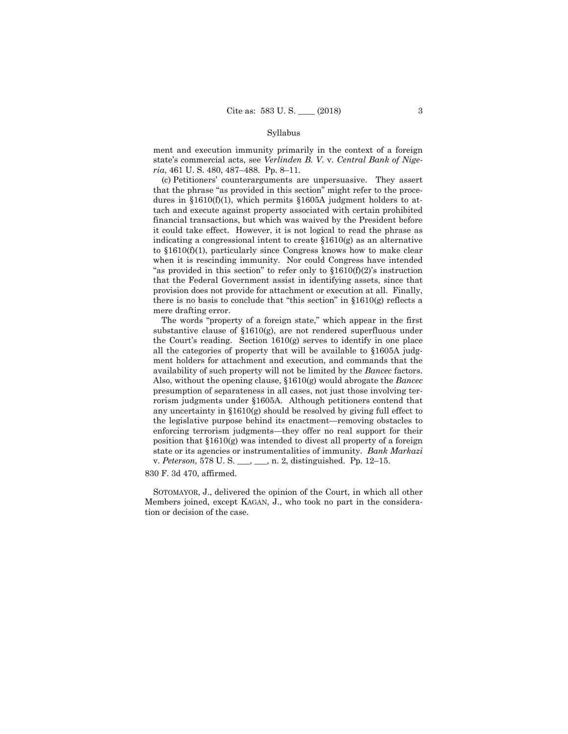#### Syllabus

ment and execution immunity primarily in the context of a foreign state's commercial acts, see *Verlinden B. V.* v. *Central Bank of Nigeria*, 461 U. S. 480, 487–488. Pp. 8–11.

(c) Petitioners' counterarguments are unpersuasive. They assert that the phrase "as provided in this section" might refer to the procedures in §1610(f)(1), which permits §1605A judgment holders to attach and execute against property associated with certain prohibited financial transactions, but which was waived by the President before it could take effect. However, it is not logical to read the phrase as indicating a congressional intent to create §1610(g) as an alternative to §1610(f)(1), particularly since Congress knows how to make clear when it is rescinding immunity. Nor could Congress have intended "as provided in this section" to refer only to  $$1610(f)(2)$ 's instruction that the Federal Government assist in identifying assets, since that provision does not provide for attachment or execution at all. Finally, there is no basis to conclude that "this section" in  $$1610(g)$  reflects a mere drafting error.

The words "property of a foreign state," which appear in the first substantive clause of §1610(g), are not rendered superfluous under the Court's reading. Section 1610(g) serves to identify in one place all the categories of property that will be available to §1605A judgment holders for attachment and execution, and commands that the availability of such property will not be limited by the *Bancec* factors. Also, without the opening clause, §1610(g) would abrogate the *Bancec*  presumption of separateness in all cases, not just those involving terrorism judgments under §1605A. Although petitioners contend that any uncertainty in §1610(g) should be resolved by giving full effect to the legislative purpose behind its enactment—removing obstacles to enforcing terrorism judgments—they offer no real support for their position that §1610(g) was intended to divest all property of a foreign state or its agencies or instrumentalities of immunity. *Bank Markazi*  v. *Peterson*, 578 U. S. \_\_\_, \_\_\_, n. 2, distinguished. Pp. 12–15.

#### 830 F. 3d 470, affirmed.

 SOTOMAYOR, J., delivered the opinion of the Court, in which all other Members joined, except KAGAN, J., who took no part in the consideration or decision of the case.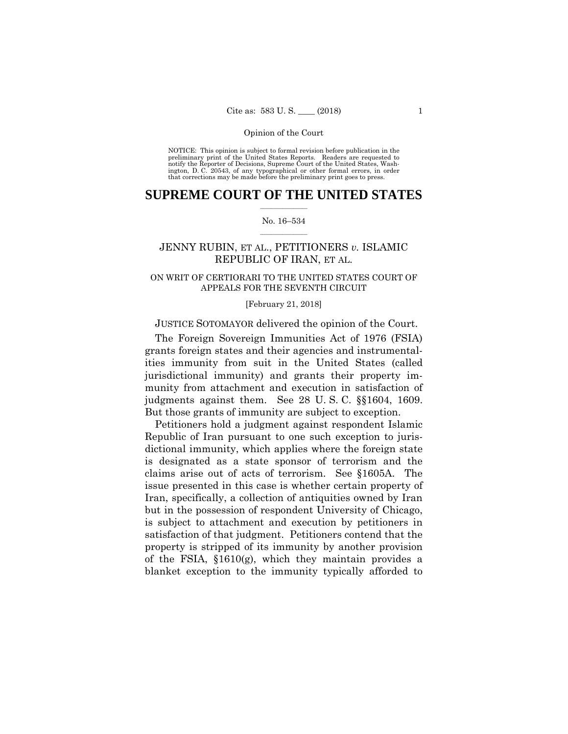preliminary print of the United States Reports. Readers are requested to notify the Reporter of Decisions, Supreme Court of the United States, Wash- ington, D. C. 20543, of any typographical or other formal errors, in order that corrections may be made before the preliminary print goes to press. NOTICE: This opinion is subject to formal revision before publication in the

## $\frac{1}{2}$  , where  $\frac{1}{2}$ **SUPREME COURT OF THE UNITED STATES**

#### $\frac{1}{2}$  ,  $\frac{1}{2}$  ,  $\frac{1}{2}$  ,  $\frac{1}{2}$  ,  $\frac{1}{2}$  ,  $\frac{1}{2}$ No. 16–534

## JENNY RUBIN, ET AL., PETITIONERS *v.* ISLAMIC REPUBLIC OF IRAN, ET AL.

## ON WRIT OF CERTIORARI TO THE UNITED STATES COURT OF APPEALS FOR THE SEVENTH CIRCUIT

#### [February 21, 2018]

## JUSTICE SOTOMAYOR delivered the opinion of the Court.

 judgments against them. See 28 U. S. C. §§1604, 1609. The Foreign Sovereign Immunities Act of 1976 (FSIA) grants foreign states and their agencies and instrumentalities immunity from suit in the United States (called jurisdictional immunity) and grants their property immunity from attachment and execution in satisfaction of But those grants of immunity are subject to exception.

Petitioners hold a judgment against respondent Islamic Republic of Iran pursuant to one such exception to jurisdictional immunity, which applies where the foreign state is designated as a state sponsor of terrorism and the claims arise out of acts of terrorism. See §1605A. The issue presented in this case is whether certain property of Iran, specifically, a collection of antiquities owned by Iran but in the possession of respondent University of Chicago, is subject to attachment and execution by petitioners in satisfaction of that judgment. Petitioners contend that the property is stripped of its immunity by another provision of the FSIA, §1610(g), which they maintain provides a blanket exception to the immunity typically afforded to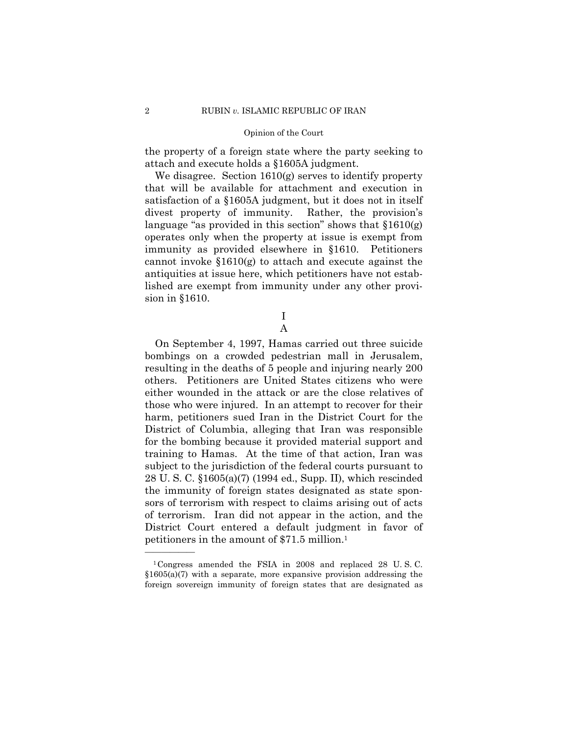the property of a foreign state where the party seeking to attach and execute holds a §1605A judgment.

We disagree. Section 1610(g) serves to identify property that will be available for attachment and execution in satisfaction of a §1605A judgment, but it does not in itself divest property of immunity. Rather, the provision's language "as provided in this section" shows that  $$1610(g)$ operates only when the property at issue is exempt from immunity as provided elsewhere in §1610. Petitioners cannot invoke  $$1610(g)$  to attach and execute against the antiquities at issue here, which petitioners have not established are exempt from immunity under any other provision in §1610.

> I A

On September 4, 1997, Hamas carried out three suicide bombings on a crowded pedestrian mall in Jerusalem, resulting in the deaths of 5 people and injuring nearly 200 others. Petitioners are United States citizens who were either wounded in the attack or are the close relatives of those who were injured. In an attempt to recover for their harm, petitioners sued Iran in the District Court for the District of Columbia, alleging that Iran was responsible for the bombing because it provided material support and training to Hamas. At the time of that action, Iran was subject to the jurisdiction of the federal courts pursuant to 28 U. S. C. §1605(a)(7) (1994 ed., Supp. II), which rescinded the immunity of foreign states designated as state sponsors of terrorism with respect to claims arising out of acts of terrorism. Iran did not appear in the action, and the District Court entered a default judgment in favor of petitioners in the amount of \$71.5 million.1

<sup>1</sup>Congress amended the FSIA in 2008 and replaced 28 U. S. C.  $$1605(a)(7)$  with a separate, more expansive provision addressing the foreign sovereign immunity of foreign states that are designated as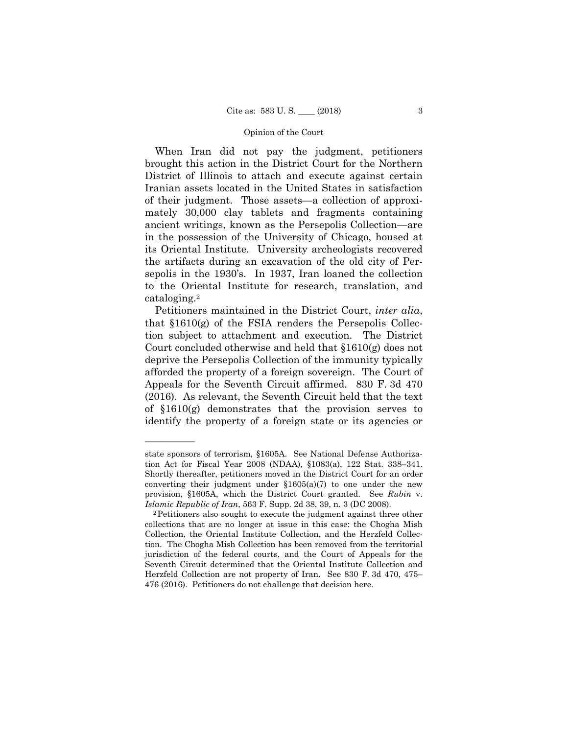When Iran did not pay the judgment, petitioners brought this action in the District Court for the Northern District of Illinois to attach and execute against certain Iranian assets located in the United States in satisfaction of their judgment. Those assets—a collection of approximately 30,000 clay tablets and fragments containing ancient writings, known as the Persepolis Collection—are in the possession of the University of Chicago, housed at its Oriental Institute. University archeologists recovered the artifacts during an excavation of the old city of Persepolis in the 1930's. In 1937, Iran loaned the collection to the Oriental Institute for research, translation, and cataloging.2

Petitioners maintained in the District Court, *inter alia*, that §1610(g) of the FSIA renders the Persepolis Collection subject to attachment and execution. The District Court concluded otherwise and held that §1610(g) does not deprive the Persepolis Collection of the immunity typically afforded the property of a foreign sovereign. The Court of Appeals for the Seventh Circuit affirmed. 830 F. 3d 470 (2016). As relevant, the Seventh Circuit held that the text of §1610(g) demonstrates that the provision serves to identify the property of a foreign state or its agencies or

state sponsors of terrorism, §1605A. See National Defense Authorization Act for Fiscal Year 2008 (NDAA), §1083(a), 122 Stat. 338–341. Shortly thereafter, petitioners moved in the District Court for an order converting their judgment under  $$1605(a)(7)$  to one under the new provision, §1605A, which the District Court granted. See *Rubin* v. *Islamic Republic of Iran*, 563 F. Supp. 2d 38, 39, n. 3 (DC 2008).<br><sup>2</sup>Petitioners also sought to execute the judgment against three other

 collections that are no longer at issue in this case: the Chogha Mish Collection, the Oriental Institute Collection, and the Herzfeld Collection. The Chogha Mish Collection has been removed from the territorial jurisdiction of the federal courts, and the Court of Appeals for the Seventh Circuit determined that the Oriental Institute Collection and Herzfeld Collection are not property of Iran. See 830 F. 3d 470, 475– 476 (2016). Petitioners do not challenge that decision here.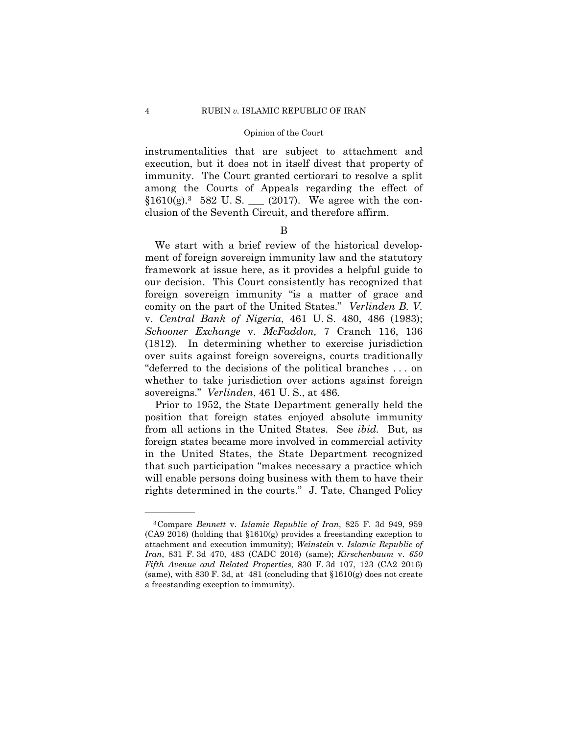immunity. The Court granted certiorari to resolve a split instrumentalities that are subject to attachment and execution, but it does not in itself divest that property of among the Courts of Appeals regarding the effect of  $$1610(g).<sup>3</sup>$  582 U.S. (2017). We agree with the conclusion of the Seventh Circuit, and therefore affirm.

### B

We start with a brief review of the historical development of foreign sovereign immunity law and the statutory framework at issue here, as it provides a helpful guide to our decision. This Court consistently has recognized that foreign sovereign immunity "is a matter of grace and comity on the part of the United States." *Verlinden B. V.*  v. *Central Bank of Nigeria*, 461 U. S. 480, 486 (1983); *Schooner Exchange* v. *McFaddon,* 7 Cranch 116, 136 (1812). In determining whether to exercise jurisdiction over suits against foreign sovereigns, courts traditionally "deferred to the decisions of the political branches . . . on whether to take jurisdiction over actions against foreign sovereigns." *Verlinden*, 461 U. S., at 486*.* 

Prior to 1952, the State Department generally held the position that foreign states enjoyed absolute immunity from all actions in the United States. See *ibid.* But, as foreign states became more involved in commercial activity in the United States, the State Department recognized that such participation "makes necessary a practice which will enable persons doing business with them to have their rights determined in the courts." J. Tate, Changed Policy

<sup>(</sup>same), with 830 F. 3d, at 481 (concluding that  $$1610(g)$  does not create 3Compare *Bennett* v. *Islamic Republic of Iran*, 825 F. 3d 949, 959 (CA9 2016) (holding that §1610(g) provides a freestanding exception to attachment and execution immunity); *Weinstein* v. *Islamic Republic of Iran*, 831 F. 3d 470, 483 (CADC 2016) (same); *Kirschenbaum* v. *650 Fifth Avenue and Related Properties*, 830 F. 3d 107, 123 (CA2 2016) a freestanding exception to immunity).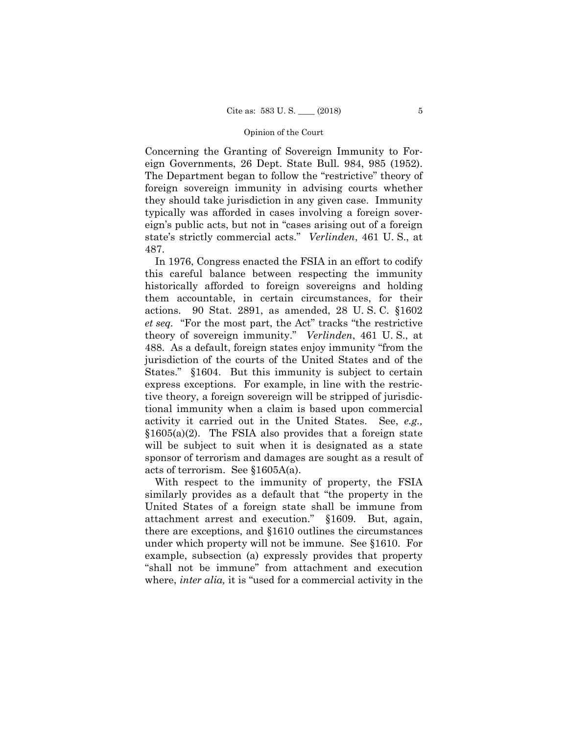Concerning the Granting of Sovereign Immunity to Foreign Governments, 26 Dept. State Bull. 984, 985 (1952). The Department began to follow the "restrictive" theory of foreign sovereign immunity in advising courts whether they should take jurisdiction in any given case. Immunity typically was afforded in cases involving a foreign sovereign's public acts, but not in "cases arising out of a foreign state's strictly commercial acts." *Verlinden*, 461 U. S., at 487.

In 1976, Congress enacted the FSIA in an effort to codify this careful balance between respecting the immunity historically afforded to foreign sovereigns and holding them accountable, in certain circumstances, for their actions. 90 Stat. 2891, as amended, 28 U. S. C. §1602 *et seq.* "For the most part, the Act" tracks "the restrictive theory of sovereign immunity." *Verlinden*, 461 U. S., at 488. As a default, foreign states enjoy immunity "from the jurisdiction of the courts of the United States and of the States." §1604. But this immunity is subject to certain express exceptions. For example, in line with the restrictive theory, a foreign sovereign will be stripped of jurisdictional immunity when a claim is based upon commercial activity it carried out in the United States. See, *e.g.,*  $§1605(a)(2)$ . The FSIA also provides that a foreign state will be subject to suit when it is designated as a state sponsor of terrorism and damages are sought as a result of acts of terrorism. See §1605A(a).

With respect to the immunity of property, the FSIA similarly provides as a default that "the property in the United States of a foreign state shall be immune from attachment arrest and execution." §1609. But, again, there are exceptions, and §1610 outlines the circumstances under which property will not be immune. See §1610. For example, subsection (a) expressly provides that property "shall not be immune" from attachment and execution where, *inter alia*, it is "used for a commercial activity in the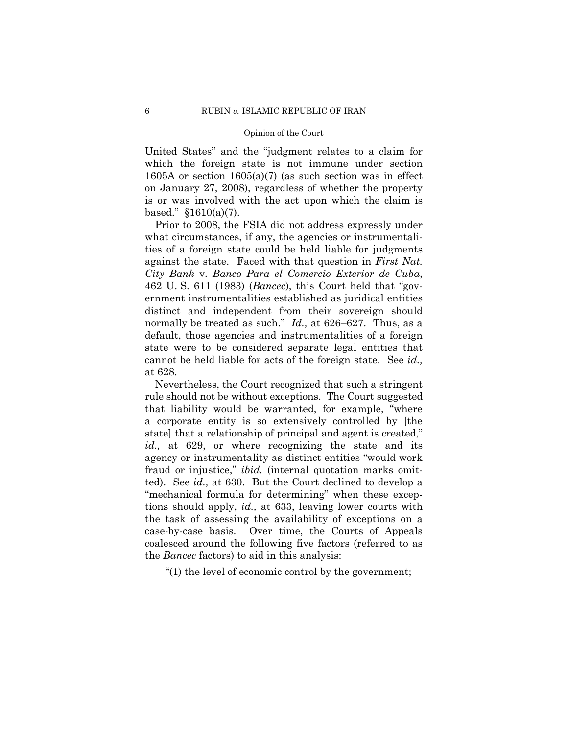United States" and the "judgment relates to a claim for which the foreign state is not immune under section 1605A or section 1605(a)(7) (as such section was in effect on January 27, 2008), regardless of whether the property is or was involved with the act upon which the claim is based." §1610(a)(7).

Prior to 2008, the FSIA did not address expressly under what circumstances, if any, the agencies or instrumentalities of a foreign state could be held liable for judgments against the state. Faced with that question in *First Nat. City Bank* v. *Banco Para el Comercio Exterior de Cuba*, 462 U. S. 611 (1983) (*Bancec*), this Court held that "government instrumentalities established as juridical entities distinct and independent from their sovereign should normally be treated as such." *Id.*, at 626–627. Thus, as a default, those agencies and instrumentalities of a foreign state were to be considered separate legal entities that cannot be held liable for acts of the foreign state. See *id.,*  at 628.

Nevertheless, the Court recognized that such a stringent rule should not be without exceptions. The Court suggested that liability would be warranted, for example, "where a corporate entity is so extensively controlled by [the state] that a relationship of principal and agent is created," id., at 629, or where recognizing the state and its agency or instrumentality as distinct entities "would work fraud or injustice," *ibid.* (internal quotation marks omitted). See *id.,* at 630. But the Court declined to develop a "mechanical formula for determining" when these exceptions should apply, *id.,* at 633, leaving lower courts with the task of assessing the availability of exceptions on a case-by-case basis. Over time, the Courts of Appeals coalesced around the following five factors (referred to as the *Bancec* factors) to aid in this analysis:

"(1) the level of economic control by the government;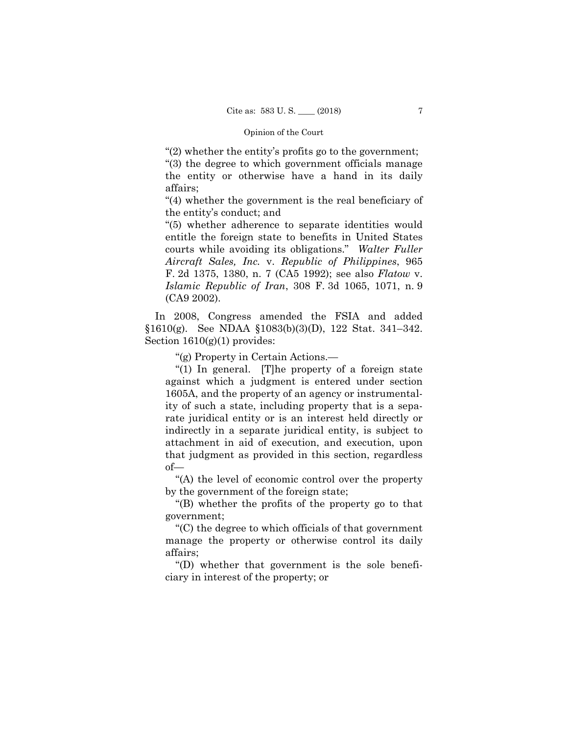"(2) whether the entity's profits go to the government;

"(3) the degree to which government officials manage the entity or otherwise have a hand in its daily affairs;

"(4) whether the government is the real beneficiary of the entity's conduct; and

"(5) whether adherence to separate identities would entitle the foreign state to benefits in United States courts while avoiding its obligations." *Walter Fuller Aircraft Sales, Inc.* v. *Republic of Philippines*, 965 F. 2d 1375, 1380, n. 7 (CA5 1992); see also *Flatow* v. *Islamic Republic of Iran*, 308 F. 3d 1065, 1071, n. 9 (CA9 2002).

 §1610(g). See NDAA §1083(b)(3)(D), 122 Stat. 341–342. In 2008, Congress amended the FSIA and added Section  $1610(g)(1)$  provides:

"(g) Property in Certain Actions.—

"(1) In general. [T]he property of a foreign state against which a judgment is entered under section 1605A, and the property of an agency or instrumentality of such a state, including property that is a separate juridical entity or is an interest held directly or indirectly in a separate juridical entity, is subject to attachment in aid of execution, and execution, upon that judgment as provided in this section, regardless of—

"(A) the level of economic control over the property by the government of the foreign state;

"(B) whether the profits of the property go to that government;

"(C) the degree to which officials of that government manage the property or otherwise control its daily affairs;

"(D) whether that government is the sole beneficiary in interest of the property; or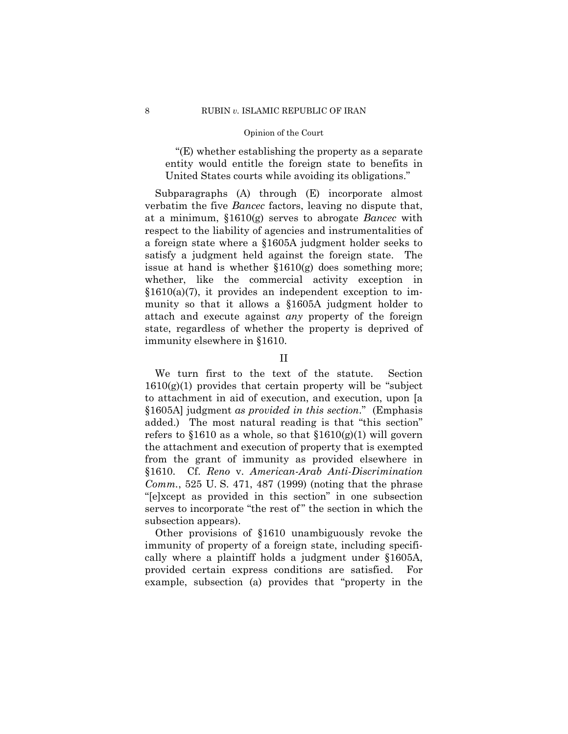"(E) whether establishing the property as a separate entity would entitle the foreign state to benefits in United States courts while avoiding its obligations."

 issue at hand is whether §1610(g) does something more; whether, like the commercial activity exception in Subparagraphs (A) through (E) incorporate almost verbatim the five *Bancec* factors, leaving no dispute that, at a minimum, §1610(g) serves to abrogate *Bancec* with respect to the liability of agencies and instrumentalities of a foreign state where a §1605A judgment holder seeks to satisfy a judgment held against the foreign state. The  $$1610(a)(7)$ , it provides an independent exception to immunity so that it allows a §1605A judgment holder to attach and execute against *any* property of the foreign state, regardless of whether the property is deprived of immunity elsewhere in §1610.

## II

We turn first to the text of the statute. Section  $1610(g)(1)$  provides that certain property will be "subject" to attachment in aid of execution, and execution, upon [a §1605A] judgment *as provided in this section*." (Emphasis added.) The most natural reading is that "this section" refers to  $$1610$  as a whole, so that  $$1610(g)(1)$  will govern the attachment and execution of property that is exempted from the grant of immunity as provided elsewhere in §1610. Cf. *Reno* v. *American-Arab Anti-Discrimination Comm.*, 525 U. S. 471, 487 (1999) (noting that the phrase "[e]xcept as provided in this section" in one subsection serves to incorporate "the rest of" the section in which the subsection appears).

Other provisions of §1610 unambiguously revoke the immunity of property of a foreign state, including specifically where a plaintiff holds a judgment under §1605A, provided certain express conditions are satisfied. For example, subsection (a) provides that "property in the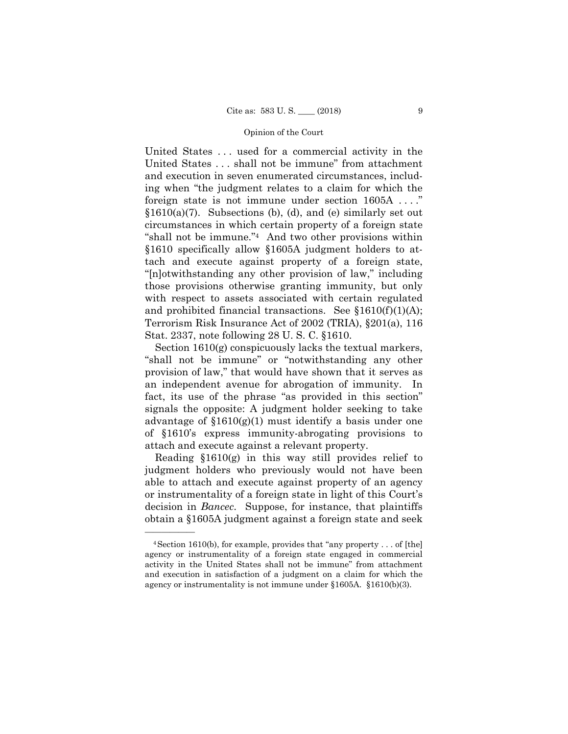foreign state is not immune under section 1605A . . . ." United States . . . used for a commercial activity in the United States . . . shall not be immune" from attachment and execution in seven enumerated circumstances, including when "the judgment relates to a claim for which the  $$1610(a)(7)$ . Subsections (b), (d), and (e) similarly set out circumstances in which certain property of a foreign state "shall not be immune."4 And two other provisions within §1610 specifically allow §1605A judgment holders to attach and execute against property of a foreign state, "[n]otwithstanding any other provision of law," including those provisions otherwise granting immunity, but only with respect to assets associated with certain regulated and prohibited financial transactions. See  $$1610(f)(1)(A);$ Terrorism Risk Insurance Act of 2002 (TRIA), §201(a), 116 Stat. 2337, note following 28 U. S. C. §1610.

Section 1610(g) conspicuously lacks the textual markers, "shall not be immune" or "notwithstanding any other provision of law," that would have shown that it serves as an independent avenue for abrogation of immunity. In fact, its use of the phrase "as provided in this section" signals the opposite: A judgment holder seeking to take advantage of  $$1610(g)(1)$  must identify a basis under one of §1610's express immunity-abrogating provisions to attach and execute against a relevant property.

Reading §1610(g) in this way still provides relief to judgment holders who previously would not have been able to attach and execute against property of an agency or instrumentality of a foreign state in light of this Court's decision in *Bancec*. Suppose, for instance, that plaintiffs obtain a §1605A judgment against a foreign state and seek

 $4$  Section 1610(b), for example, provides that "any property . . . of [the] agency or instrumentality of a foreign state engaged in commercial activity in the United States shall not be immune" from attachment and execution in satisfaction of a judgment on a claim for which the agency or instrumentality is not immune under §1605A. §1610(b)(3).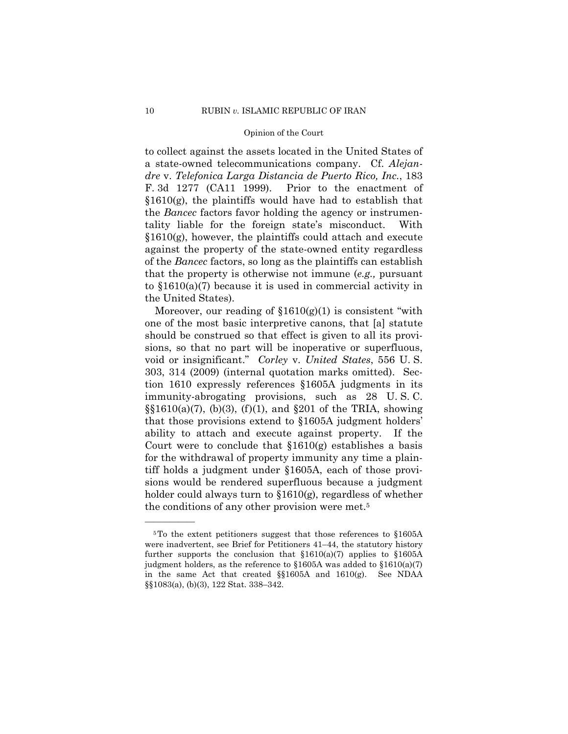to collect against the assets located in the United States of a state-owned telecommunications company. Cf. *Alejandre* v. *Telefonica Larga Distancia de Puerto Rico, Inc.*, 183 F. 3d 1277 (CA11 1999). Prior to the enactment of  $$1610(g)$ , the plaintiffs would have had to establish that the *Bancec* factors favor holding the agency or instrumentality liable for the foreign state's misconduct. With §1610(g), however, the plaintiffs could attach and execute against the property of the state-owned entity regardless of the *Bancec* factors, so long as the plaintiffs can establish that the property is otherwise not immune (*e.g.,* pursuant to §1610(a)(7) because it is used in commercial activity in the United States).

Moreover, our reading of  $$1610(g)(1)$  is consistent "with one of the most basic interpretive canons, that [a] statute should be construed so that effect is given to all its provisions, so that no part will be inoperative or superfluous, void or insignificant." *Corley* v. *United States*, 556 U. S. 303, 314 (2009) (internal quotation marks omitted). Section 1610 expressly references §1605A judgments in its immunity-abrogating provisions, such as 28 U. S. C.  $\S$ §1610(a)(7), (b)(3), (f)(1), and §201 of the TRIA, showing that those provisions extend to §1605A judgment holders' ability to attach and execute against property. If the Court were to conclude that  $$1610(g)$  establishes a basis for the withdrawal of property immunity any time a plaintiff holds a judgment under §1605A, each of those provisions would be rendered superfluous because a judgment holder could always turn to §1610(g), regardless of whether the conditions of any other provision were met.5

<sup>5</sup>To the extent petitioners suggest that those references to §1605A were inadvertent, see Brief for Petitioners 41–44, the statutory history further supports the conclusion that  $$1610(a)(7)$  applies to  $$1605A$ judgment holders, as the reference to  $$1605A$  was added to  $$1610(a)(7)$ in the same Act that created §§1605A and 1610(g). See NDAA §§1083(a), (b)(3), 122 Stat. 338–342.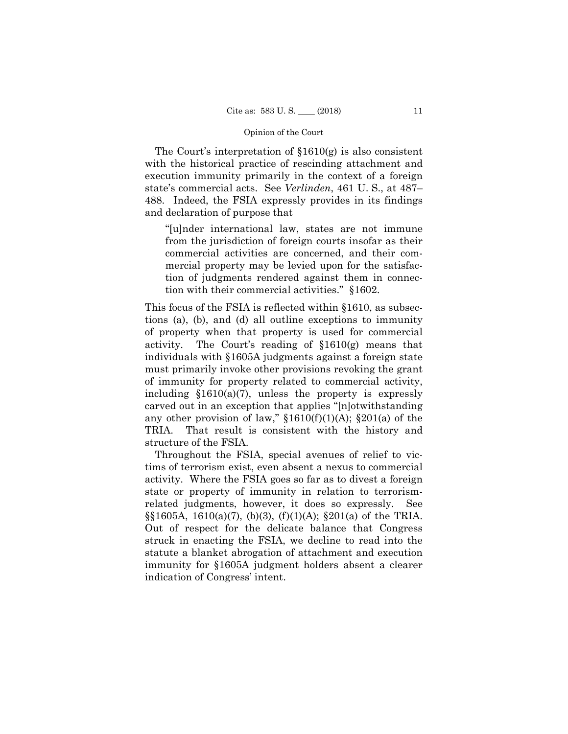The Court's interpretation of §1610(g) is also consistent with the historical practice of rescinding attachment and execution immunity primarily in the context of a foreign state's commercial acts. See *Verlinden*, 461 U. S., at 487– 488. Indeed, the FSIA expressly provides in its findings and declaration of purpose that

"[u]nder international law, states are not immune from the jurisdiction of foreign courts insofar as their commercial activities are concerned, and their commercial property may be levied upon for the satisfaction of judgments rendered against them in connection with their commercial activities." §1602.

This focus of the FSIA is reflected within §1610, as subsections (a), (b), and (d) all outline exceptions to immunity of property when that property is used for commercial activity. The Court's reading of §1610(g) means that individuals with §1605A judgments against a foreign state must primarily invoke other provisions revoking the grant of immunity for property related to commercial activity, including  $$1610(a)(7)$ , unless the property is expressly carved out in an exception that applies "[n]otwithstanding any other provision of law,"  $$1610(f)(1)(A);$   $$201(a)$  of the TRIA. That result is consistent with the history and structure of the FSIA.

Throughout the FSIA, special avenues of relief to victims of terrorism exist, even absent a nexus to commercial activity. Where the FSIA goes so far as to divest a foreign state or property of immunity in relation to terrorismrelated judgments, however, it does so expressly. See  $\S$ [605A, 1610(a)(7), (b)(3), (f)(1)(A);  $\S$ 201(a) of the TRIA. Out of respect for the delicate balance that Congress struck in enacting the FSIA, we decline to read into the statute a blanket abrogation of attachment and execution immunity for §1605A judgment holders absent a clearer indication of Congress' intent.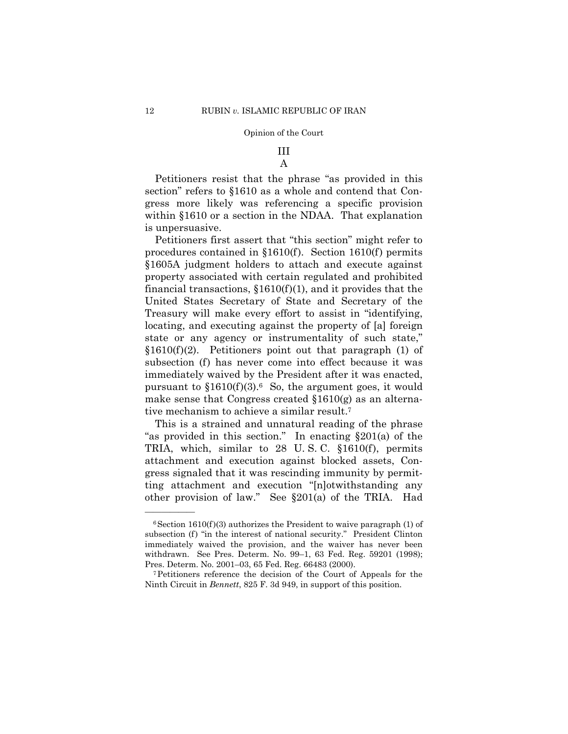## III A

Petitioners resist that the phrase "as provided in this section" refers to §1610 as a whole and contend that Congress more likely was referencing a specific provision within §1610 or a section in the NDAA. That explanation is unpersuasive.

Petitioners first assert that "this section" might refer to procedures contained in §1610(f). Section 1610(f) permits §1605A judgment holders to attach and execute against property associated with certain regulated and prohibited financial transactions,  $$1610(f)(1)$ , and it provides that the United States Secretary of State and Secretary of the Treasury will make every effort to assist in "identifying, locating, and executing against the property of [a] foreign state or any agency or instrumentality of such state,"  $$1610(f)(2)$ . Petitioners point out that paragraph (1) of subsection (f) has never come into effect because it was immediately waived by the President after it was enacted, pursuant to  $$1610(f)(3)$ .<sup>6</sup> So, the argument goes, it would make sense that Congress created  $$1610(g)$  as an alternative mechanism to achieve a similar result.7

This is a strained and unnatural reading of the phrase "as provided in this section." In enacting  $\S 201(a)$  of the TRIA, which, similar to 28 U. S. C. §1610(f), permits attachment and execution against blocked assets, Congress signaled that it was rescinding immunity by permitting attachment and execution "[n]otwithstanding any other provision of law." See §201(a) of the TRIA. Had

 withdrawn. See Pres. Determ. No. 99–1, 63 Fed. Reg. 59201 (1998);  $6$ Section 1610(f)(3) authorizes the President to waive paragraph (1) of subsection (f) "in the interest of national security." President Clinton immediately waived the provision, and the waiver has never been

Pres. Determ. No. 2001–03, 65 Fed. Reg. 66483 (2000). 7Petitioners reference the decision of the Court of Appeals for the Ninth Circuit in *Bennett*, 825 F. 3d 949, in support of this position.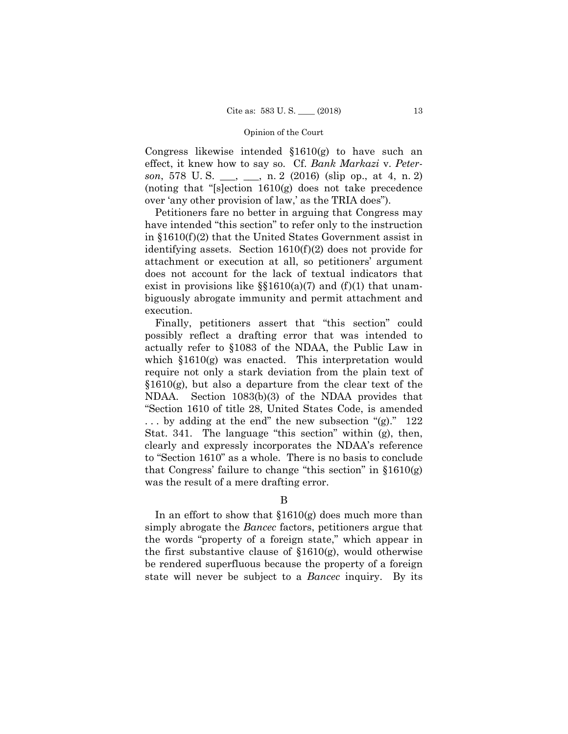Congress likewise intended §1610(g) to have such an effect, it knew how to say so. Cf. *Bank Markazi* v. *Peterson*, 578 U. S. \_\_\_, \_\_\_, n. 2 (2016) (slip op., at 4, n. 2) (noting that "[s]ection 1610(g) does not take precedence over 'any other provision of law,' as the TRIA does").

Petitioners fare no better in arguing that Congress may have intended "this section" to refer only to the instruction in §1610(f)(2) that the United States Government assist in identifying assets. Section 1610(f)(2) does not provide for attachment or execution at all, so petitioners' argument does not account for the lack of textual indicators that exist in provisions like  $\S$ {1610(a)(7) and (f)(1) that unambiguously abrogate immunity and permit attachment and execution.

 NDAA. Section 1083(b)(3) of the NDAA provides that "Section 1610 of title 28, United States Code, is amended Finally, petitioners assert that "this section" could possibly reflect a drafting error that was intended to actually refer to §1083 of the NDAA, the Public Law in which  $$1610(g)$  was enacted. This interpretation would require not only a stark deviation from the plain text of §1610(g), but also a departure from the clear text of the . . . by adding at the end" the new subsection "(g)." 122 Stat. 341. The language "this section" within (g), then, clearly and expressly incorporates the NDAA's reference to "Section 1610" as a whole. There is no basis to conclude that Congress' failure to change "this section" in  $$1610(g)$ was the result of a mere drafting error.

## B

In an effort to show that  $$1610(g)$  does much more than simply abrogate the *Bancec* factors, petitioners argue that the words "property of a foreign state," which appear in the first substantive clause of  $$1610(g)$ , would otherwise be rendered superfluous because the property of a foreign state will never be subject to a *Bancec* inquiry. By its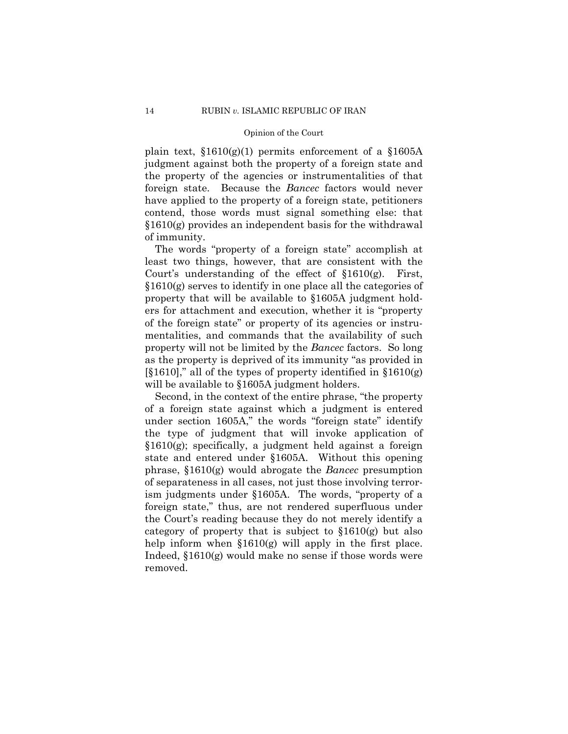plain text,  $$1610(g)(1)$  permits enforcement of a  $$1605A$ judgment against both the property of a foreign state and the property of the agencies or instrumentalities of that foreign state. Because the *Bancec* factors would never have applied to the property of a foreign state, petitioners contend, those words must signal something else: that §1610(g) provides an independent basis for the withdrawal of immunity.

The words "property of a foreign state" accomplish at least two things, however, that are consistent with the Court's understanding of the effect of §1610(g). First, §1610(g) serves to identify in one place all the categories of property that will be available to §1605A judgment holders for attachment and execution, whether it is "property of the foreign state" or property of its agencies or instrumentalities, and commands that the availability of such property will not be limited by the *Bancec* factors. So long as the property is deprived of its immunity "as provided in  $[\$1610]$ ," all of the types of property identified in  $§1610(g)$ will be available to §1605A judgment holders.

Second, in the context of the entire phrase, "the property of a foreign state against which a judgment is entered under section 1605A," the words "foreign state" identify the type of judgment that will invoke application of §1610(g); specifically, a judgment held against a foreign state and entered under §1605A. Without this opening phrase, §1610(g) would abrogate the *Bancec* presumption of separateness in all cases, not just those involving terrorism judgments under §1605A. The words, "property of a foreign state," thus, are not rendered superfluous under the Court's reading because they do not merely identify a category of property that is subject to  $$1610(g)$  but also help inform when §1610(g) will apply in the first place. Indeed, §1610(g) would make no sense if those words were removed.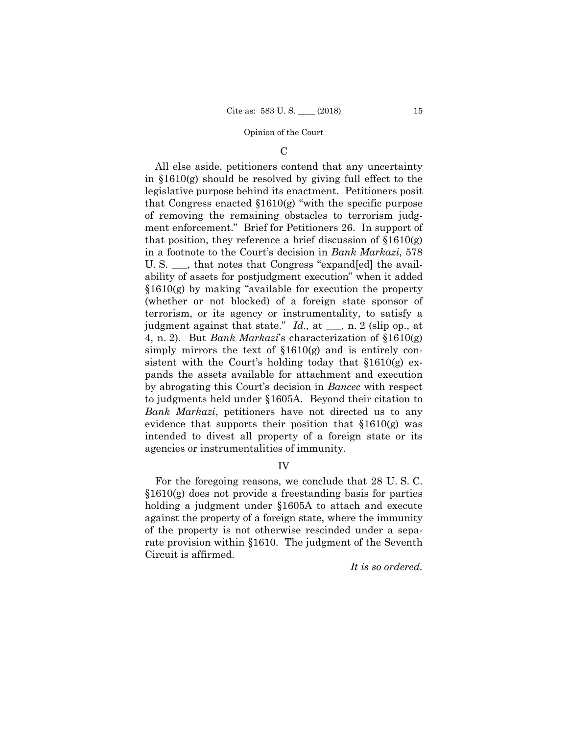#### $\mathcal{C}$

All else aside, petitioners contend that any uncertainty in §1610(g) should be resolved by giving full effect to the legislative purpose behind its enactment. Petitioners posit that Congress enacted §1610(g) "with the specific purpose of removing the remaining obstacles to terrorism judgment enforcement." Brief for Petitioners 26. In support of that position, they reference a brief discussion of  $$1610(g)$ in a footnote to the Court's decision in *Bank Markazi*, 578 U. S. \_\_\_, that notes that Congress "expand[ed] the availability of assets for postjudgment execution" when it added §1610(g) by making "available for execution the property (whether or not blocked) of a foreign state sponsor of terrorism, or its agency or instrumentality, to satisfy a judgment against that state." *Id.,* at \_\_\_, n. 2 (slip op., at 4, n. 2). But *Bank Markazi*'s characterization of §1610(g) simply mirrors the text of §1610(g) and is entirely consistent with the Court's holding today that §1610(g) expands the assets available for attachment and execution by abrogating this Court's decision in *Bancec* with respect to judgments held under §1605A. Beyond their citation to *Bank Markazi*, petitioners have not directed us to any evidence that supports their position that §1610(g) was intended to divest all property of a foreign state or its agencies or instrumentalities of immunity.

## IV

For the foregoing reasons, we conclude that 28 U. S. C. §1610(g) does not provide a freestanding basis for parties holding a judgment under §1605A to attach and execute against the property of a foreign state, where the immunity of the property is not otherwise rescinded under a separate provision within §1610. The judgment of the Seventh Circuit is affirmed.

*It is so ordered.*